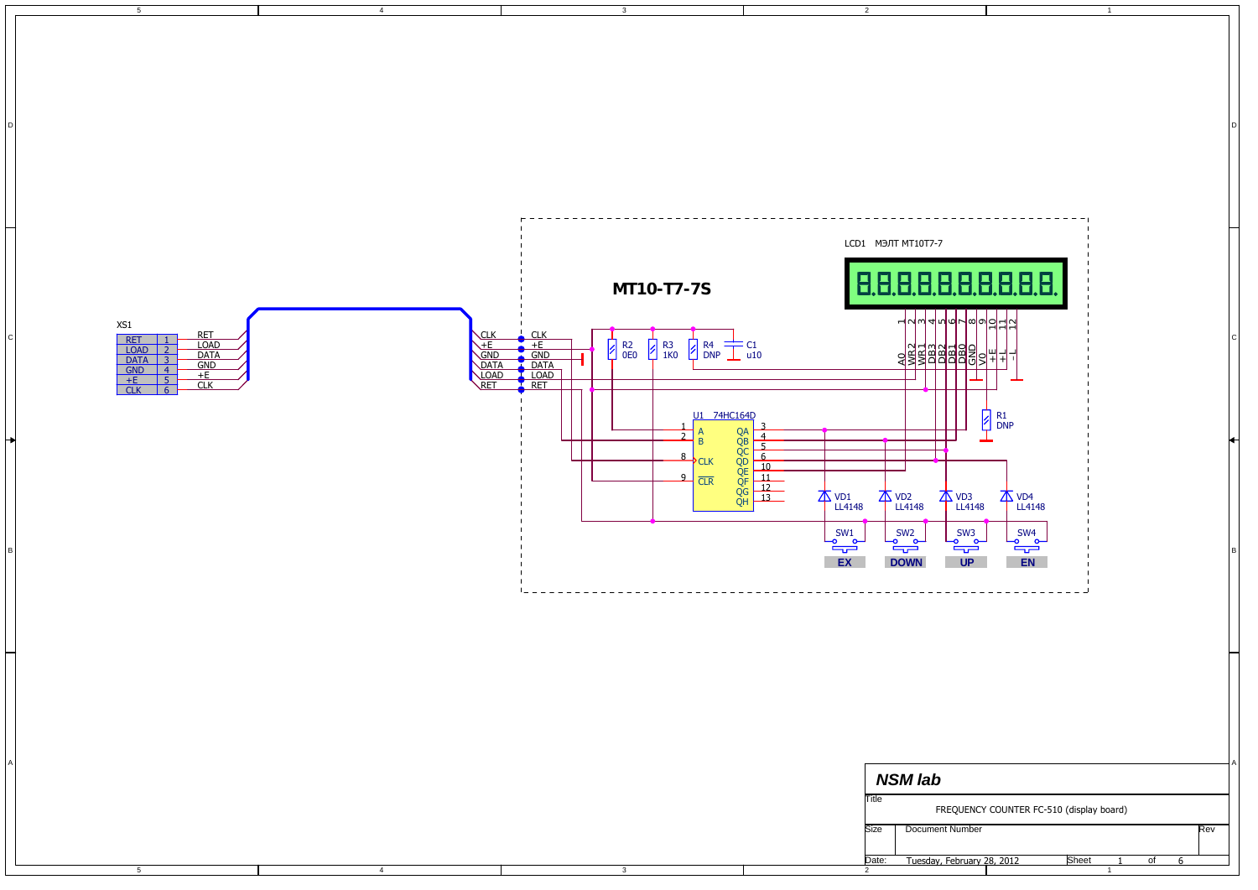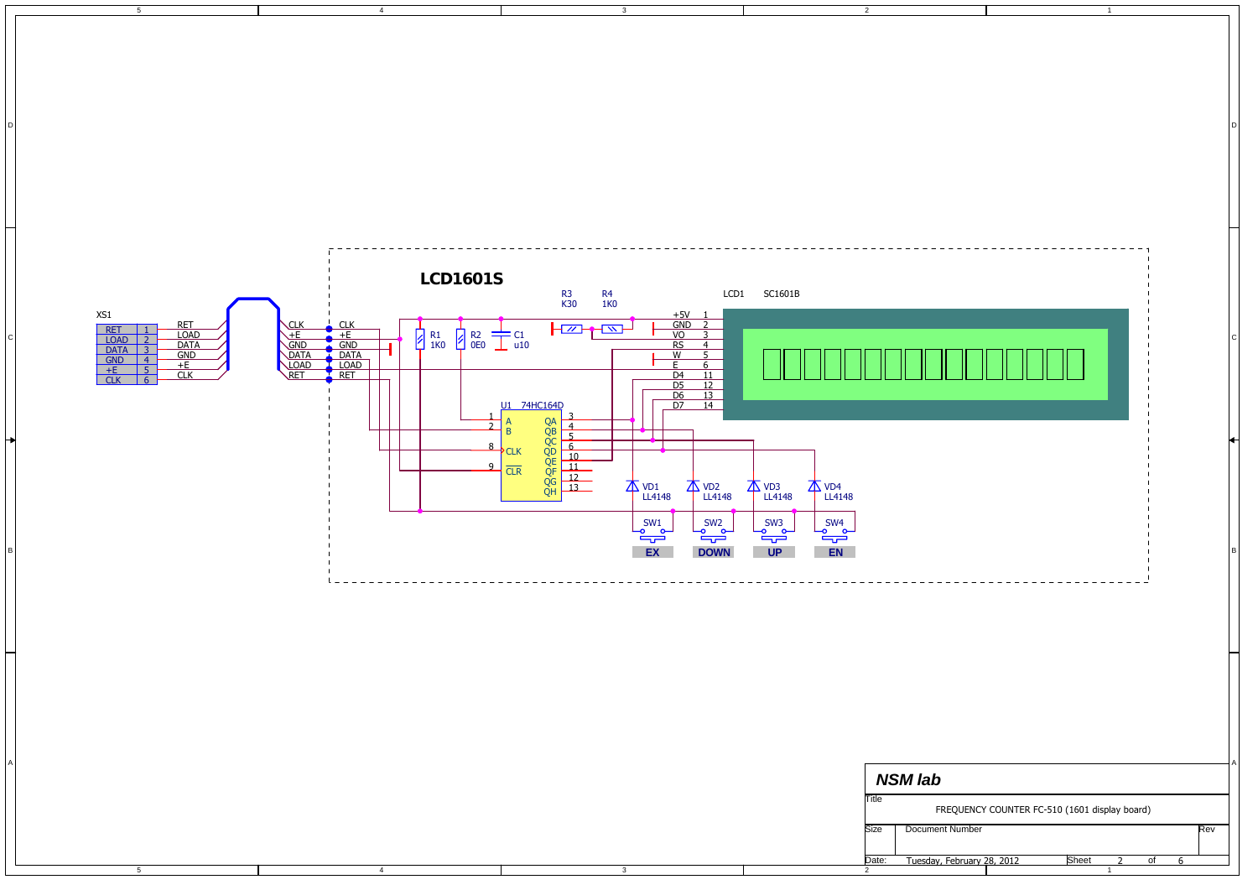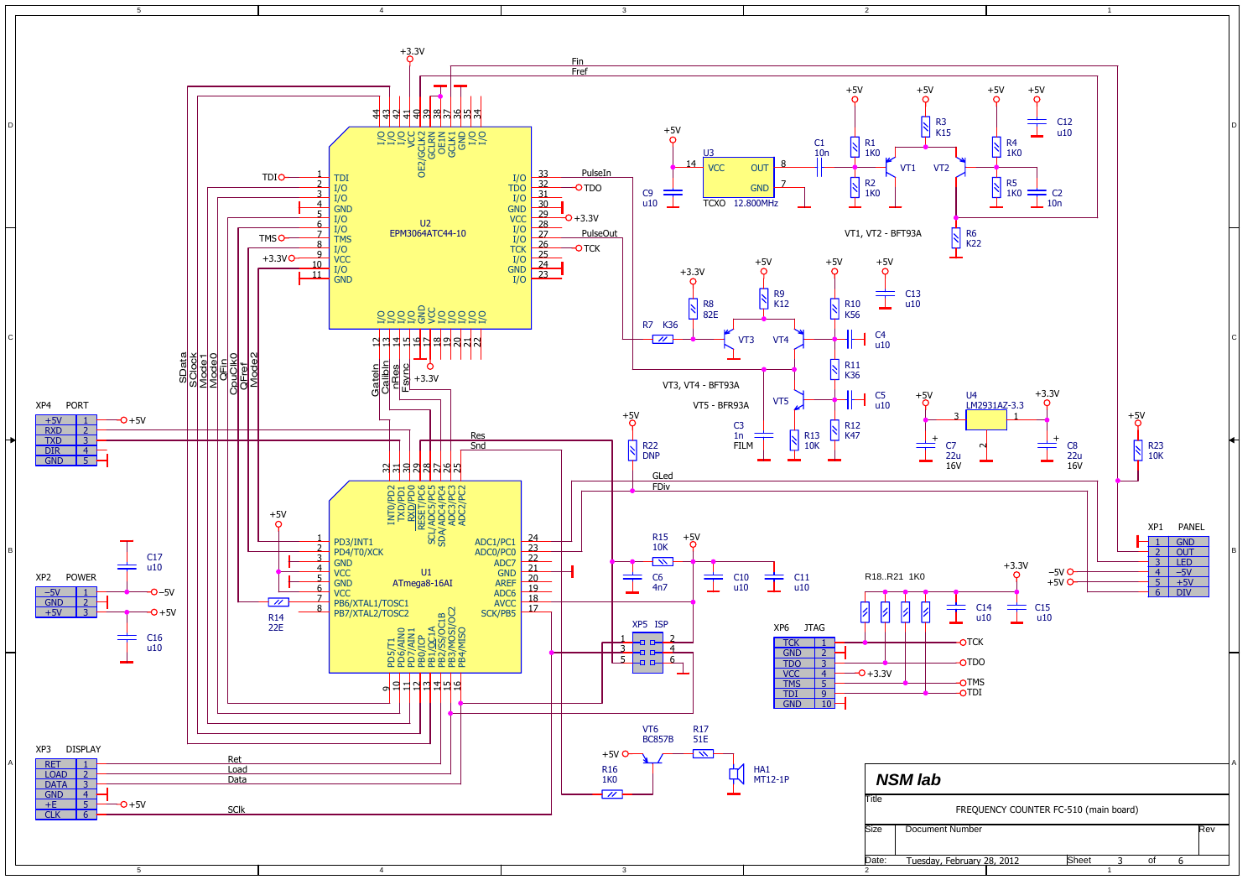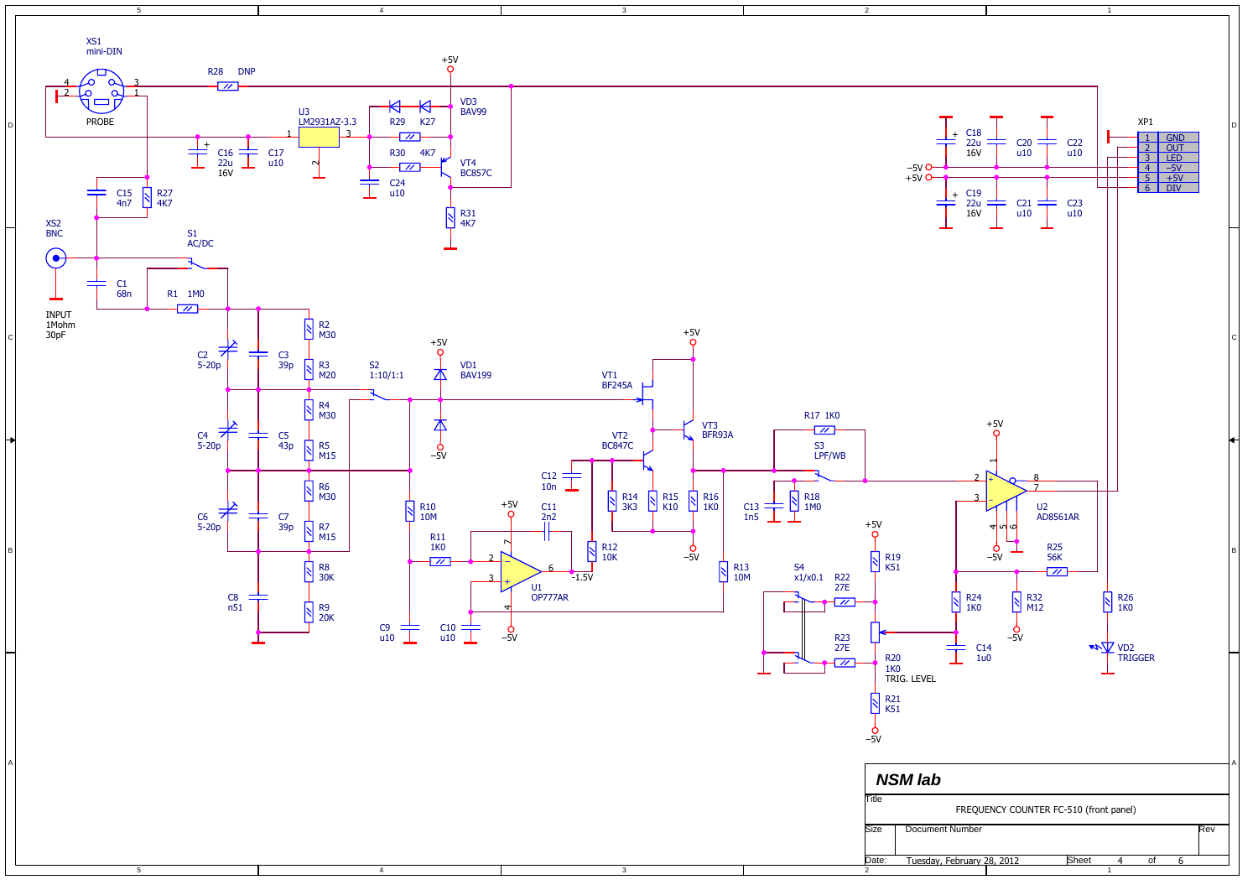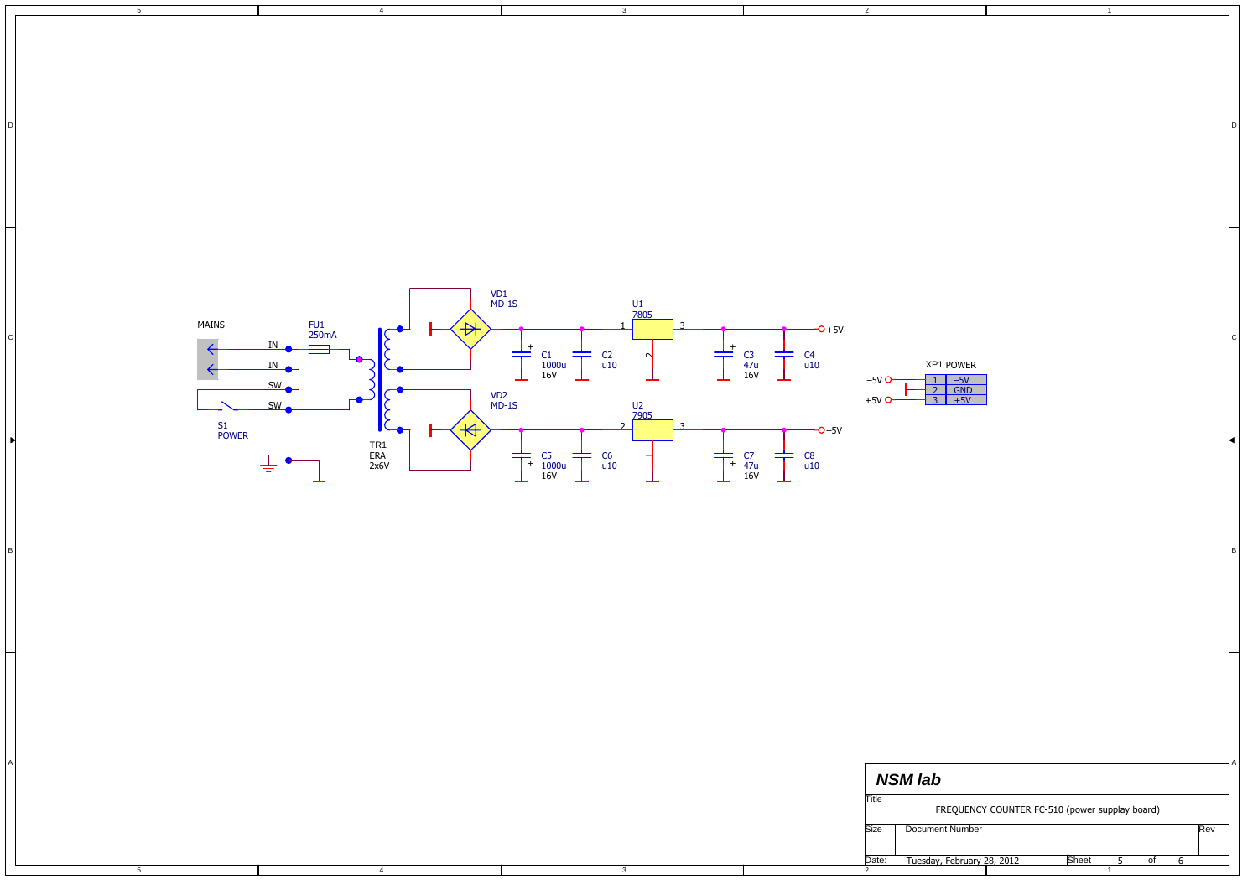